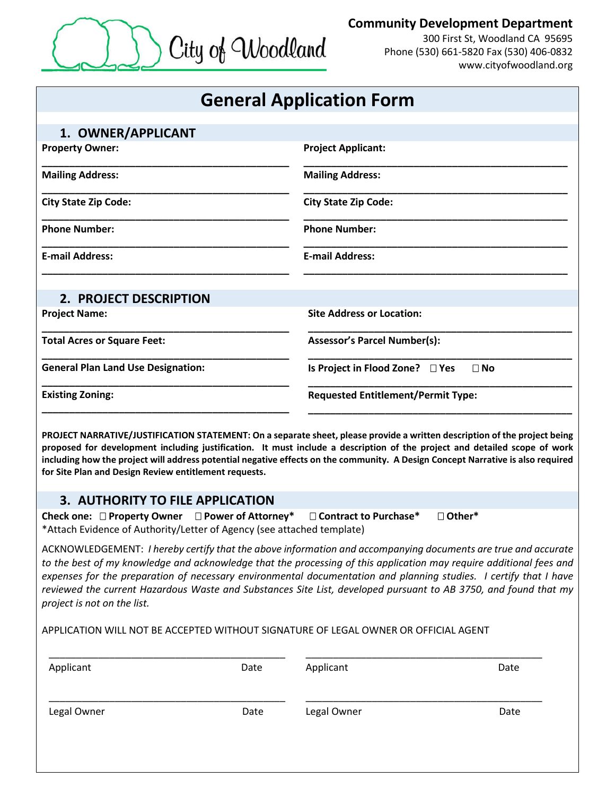

## **Community Development Department**

300 First St, Woodland CA 95695 Phone (530) 661-5820 Fax (530) 406-0832 www.cityofwoodland.org

|                                                                                                                                      |      | <b>General Application Form</b>                                                     |                                                                                                                                                                                                                                                                                                                                                                                                                                                                              |  |
|--------------------------------------------------------------------------------------------------------------------------------------|------|-------------------------------------------------------------------------------------|------------------------------------------------------------------------------------------------------------------------------------------------------------------------------------------------------------------------------------------------------------------------------------------------------------------------------------------------------------------------------------------------------------------------------------------------------------------------------|--|
| 1. OWNER/APPLICANT                                                                                                                   |      |                                                                                     |                                                                                                                                                                                                                                                                                                                                                                                                                                                                              |  |
| <b>Property Owner:</b>                                                                                                               |      | <b>Project Applicant:</b>                                                           |                                                                                                                                                                                                                                                                                                                                                                                                                                                                              |  |
| <b>Mailing Address:</b>                                                                                                              |      | <b>Mailing Address:</b>                                                             |                                                                                                                                                                                                                                                                                                                                                                                                                                                                              |  |
| <b>City State Zip Code:</b>                                                                                                          |      | <b>City State Zip Code:</b>                                                         |                                                                                                                                                                                                                                                                                                                                                                                                                                                                              |  |
| <b>Phone Number:</b>                                                                                                                 |      | <b>Phone Number:</b>                                                                |                                                                                                                                                                                                                                                                                                                                                                                                                                                                              |  |
| <b>E-mail Address:</b>                                                                                                               |      | <b>E-mail Address:</b>                                                              |                                                                                                                                                                                                                                                                                                                                                                                                                                                                              |  |
| 2. PROJECT DESCRIPTION                                                                                                               |      |                                                                                     |                                                                                                                                                                                                                                                                                                                                                                                                                                                                              |  |
| <b>Project Name:</b>                                                                                                                 |      | <b>Site Address or Location:</b>                                                    |                                                                                                                                                                                                                                                                                                                                                                                                                                                                              |  |
| <b>Total Acres or Square Feet:</b>                                                                                                   |      | <b>Assessor's Parcel Number(s):</b>                                                 |                                                                                                                                                                                                                                                                                                                                                                                                                                                                              |  |
| <b>General Plan Land Use Designation:</b>                                                                                            |      | Is Project in Flood Zone? □ Yes                                                     | $\Box$ No                                                                                                                                                                                                                                                                                                                                                                                                                                                                    |  |
| <b>Existing Zoning:</b>                                                                                                              |      |                                                                                     | <b>Requested Entitlement/Permit Type:</b>                                                                                                                                                                                                                                                                                                                                                                                                                                    |  |
| for Site Plan and Design Review entitlement requests.<br><b>3. AUTHORITY TO FILE APPLICATION</b>                                     |      |                                                                                     | PROJECT NARRATIVE/JUSTIFICATION STATEMENT: On a separate sheet, please provide a written description of the project being<br>proposed for development including justification. It must include a description of the project and detailed scope of work<br>including how the project will address potential negative effects on the community. A Design Concept Narrative is also required                                                                                    |  |
| Check one: $\Box$ Property Owner $\Box$ Power of Attorney*<br>*Attach Evidence of Authority/Letter of Agency (see attached template) |      | □ Contract to Purchase*                                                             | □ Other*                                                                                                                                                                                                                                                                                                                                                                                                                                                                     |  |
| project is not on the list.                                                                                                          |      |                                                                                     | ACKNOWLEDGEMENT: I hereby certify that the above information and accompanying documents are true and accurate<br>to the best of my knowledge and acknowledge that the processing of this application may require additional fees and<br>expenses for the preparation of necessary environmental documentation and planning studies. I certify that I have<br>reviewed the current Hazardous Waste and Substances Site List, developed pursuant to AB 3750, and found that my |  |
|                                                                                                                                      |      | APPLICATION WILL NOT BE ACCEPTED WITHOUT SIGNATURE OF LEGAL OWNER OR OFFICIAL AGENT |                                                                                                                                                                                                                                                                                                                                                                                                                                                                              |  |
| Applicant                                                                                                                            | Date | Applicant                                                                           | Date                                                                                                                                                                                                                                                                                                                                                                                                                                                                         |  |
| Legal Owner                                                                                                                          | Date | Legal Owner                                                                         | Date                                                                                                                                                                                                                                                                                                                                                                                                                                                                         |  |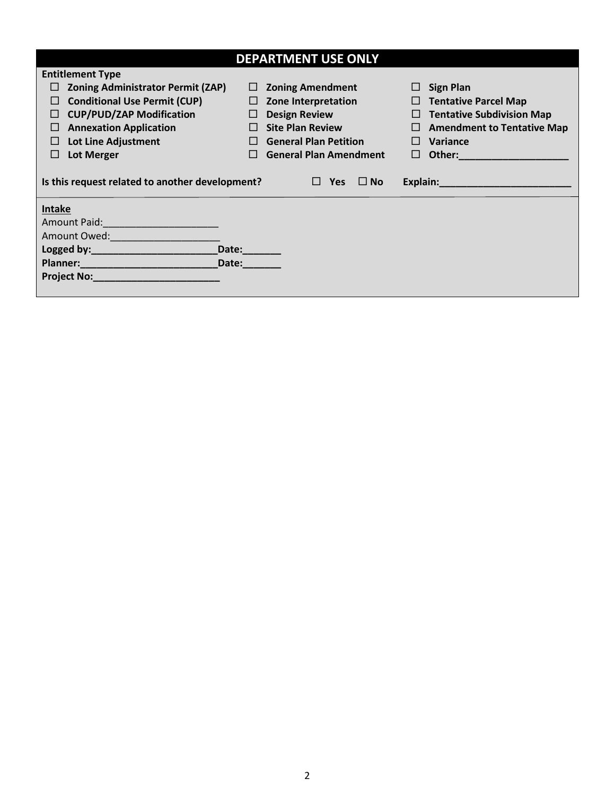| <b>DEPARTMENT USE ONLY</b>                                                                                                                                                                                                     |        |                               |                                        |  |  |  |
|--------------------------------------------------------------------------------------------------------------------------------------------------------------------------------------------------------------------------------|--------|-------------------------------|----------------------------------------|--|--|--|
| <b>Entitlement Type</b>                                                                                                                                                                                                        |        |                               |                                        |  |  |  |
| <b>Zoning Administrator Permit (ZAP)</b>                                                                                                                                                                                       | ⊔      | <b>Zoning Amendment</b>       | <b>Sign Plan</b>                       |  |  |  |
| <b>Conditional Use Permit (CUP)</b><br>$\Box$                                                                                                                                                                                  | $\Box$ | Zone Interpretation           | <b>Tentative Parcel Map</b><br>$\Box$  |  |  |  |
| <b>CUP/PUD/ZAP Modification</b><br>ப                                                                                                                                                                                           | ⊔      | <b>Design Review</b>          | <b>Tentative Subdivision Map</b><br>⊔  |  |  |  |
| <b>Annexation Application</b><br>⊔                                                                                                                                                                                             | $\Box$ | <b>Site Plan Review</b>       | <b>Amendment to Tentative Map</b><br>⊔ |  |  |  |
| <b>Lot Line Adjustment</b><br>$\Box$                                                                                                                                                                                           | $\Box$ | <b>General Plan Petition</b>  | Variance<br>$\mathsf{L}$               |  |  |  |
| Lot Merger<br>$\Box$                                                                                                                                                                                                           | $\Box$ | <b>General Plan Amendment</b> | Other:<br>ப                            |  |  |  |
| Explain: Explain:<br>Is this request related to another development?<br>$\Box$ No<br>$\Box$ Yes                                                                                                                                |        |                               |                                        |  |  |  |
| Intake                                                                                                                                                                                                                         |        |                               |                                        |  |  |  |
| Amount Paid: National Property of the Company of the Company of the Company of the Company of the Company of the Company of the Company of the Company of the Company of the Company of the Company of the Company of the Comp |        |                               |                                        |  |  |  |
| Amount Owed: Amount Owed:                                                                                                                                                                                                      |        |                               |                                        |  |  |  |
|                                                                                                                                                                                                                                | Date:  |                               |                                        |  |  |  |
| Planner: Manual Manual Manual Manual Manual Manual Manual Manual Manual Manual Manual Manual Manual Manual Manual Ma                                                                                                           | Date:  |                               |                                        |  |  |  |
| Project No: North and the contract of the contract of the contract of the contract of the contract of the contract of the contract of the contract of the contract of the contract of the contract of the contract of the cont |        |                               |                                        |  |  |  |
|                                                                                                                                                                                                                                |        |                               |                                        |  |  |  |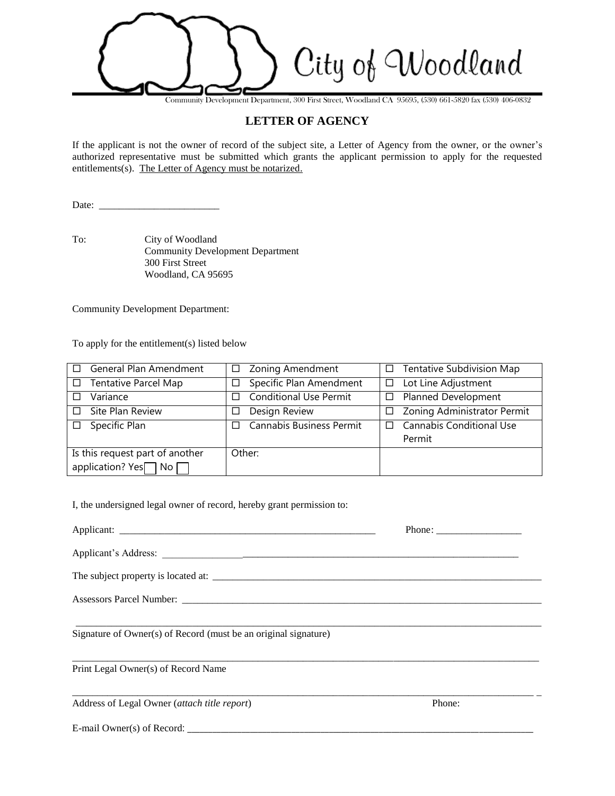City of Woodland

Community Development Department, 300 First Street, Woodland CA 95695, (530) 661-5820 fax (530) 406-0832

## **LETTER OF AGENCY**

If the applicant is not the owner of record of the subject site, a Letter of Agency from the owner, or the owner's authorized representative must be submitted which grants the applicant permission to apply for the requested entitlements(s). The Letter of Agency must be notarized.

Date: \_\_\_\_\_\_\_\_\_\_\_\_\_\_\_\_\_\_\_\_\_\_\_\_

To: City of Woodland Community Development Department 300 First Street Woodland, CA 95695

Community Development Department:

To apply for the entitlement(s) listed below

| General Plan Amendment<br>$\Box$ | □ Zoning Amendment                      | Tentative Subdivision Map<br>$\Box$       |
|----------------------------------|-----------------------------------------|-------------------------------------------|
| □ Tentative Parcel Map           | Specific Plan Amendment<br>$\Box$       | Lot Line Adjustment<br>$\Box$             |
| Variance<br>$\Box$               | <b>Conditional Use Permit</b><br>$\Box$ | <b>Planned Development</b><br>$\Box$      |
| $\Box$ Site Plan Review          | Design Review<br>⊔                      | Zoning Administrator Permit<br>$\Box$     |
| $\square$ Specific Plan          | Cannabis Business Permit<br>П.          | <b>Cannabis Conditional Use</b><br>$\Box$ |
|                                  |                                         | Permit                                    |
| Is this request part of another  | Other:                                  |                                           |
| application? Yes <sub>∩</sub> No |                                         |                                           |

I, the undersigned legal owner of record, hereby grant permission to:

| Signature of Owner(s) of Record (must be an original signature) |        |  |
|-----------------------------------------------------------------|--------|--|
| Print Legal Owner(s) of Record Name                             |        |  |
| Address of Legal Owner (attach title report)                    | Phone: |  |
| E-mail Owner(s) of Record:                                      |        |  |